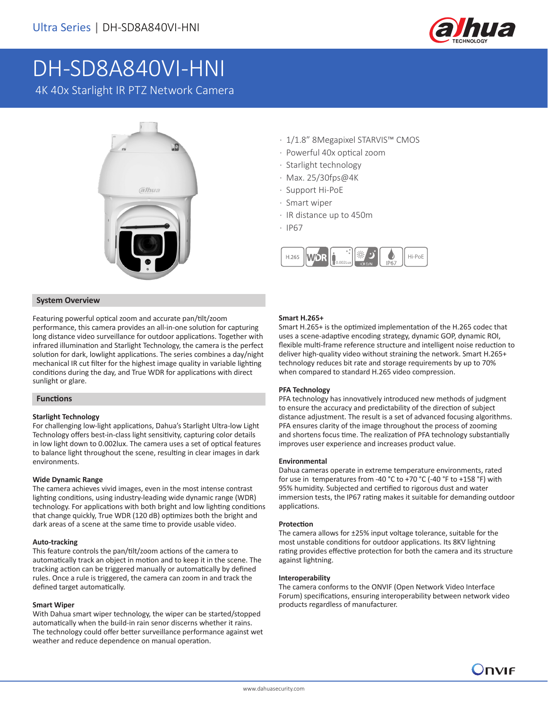

# DH-SD8A840VI-HNI

4K 40x Starlight IR PTZ Network Camera



### **System Overview**

Featuring powerful optical zoom and accurate pan/tilt/zoom performance, this camera provides an all-in-one solution for capturing long distance video surveillance for outdoor applications. Together with infrared illumination and Starlight Technology, the camera is the perfect solution for dark, lowlight applications. The series combines a day/night mechanical IR cut filter for the highest image quality in variable lighting conditions during the day, and True WDR for applications with direct sunlight or glare.

### **Functions**

### **Starlight Technology**

For challenging low-light applications, Dahua's Starlight Ultra-low Light Technology offers best-in-class light sensitivity, capturing color details in low light down to 0.002lux. The camera uses a set of optical features to balance light throughout the scene, resulting in clear images in dark environments.

### **Wide Dynamic Range**

The camera achieves vivid images, even in the most intense contrast lighting conditions, using industry-leading wide dynamic range (WDR) technology. For applications with both bright and low lighting conditions that change quickly, True WDR (120 dB) optimizes both the bright and dark areas of a scene at the same time to provide usable video.

### **Auto-tracking**

This feature controls the pan/tilt/zoom actions of the camera to automatically track an object in motion and to keep it in the scene. The tracking action can be triggered manually or automatically by defined rules. Once a rule is triggered, the camera can zoom in and track the defined target automatically.

### **Smart Wiper**

With Dahua smart wiper technology, the wiper can be started/stopped automatically when the build-in rain senor discerns whether it rains. The technology could offer better surveillance performance against wet weather and reduce dependence on manual operation.

- · 1/1.8" 8Megapixel STARVIS™ CMOS
- · Powerful 40x optical zoom
- · Starlight technology
- · Max. 25/30fps@4K
- · Support Hi-PoE
- · Smart wiper
- · IR distance up to 450m
- · IP67



### **Smart H.265+**

Smart H.265+ is the optimized implementation of the H.265 codec that uses a scene-adaptive encoding strategy, dynamic GOP, dynamic ROI, flexible multi-frame reference structure and intelligent noise reduction to deliver high-quality video without straining the network. Smart H.265+ technology reduces bit rate and storage requirements by up to 70% when compared to standard H.265 video compression.

### **PFA Technology**

PFA technology has innovatively introduced new methods of judgment to ensure the accuracy and predictability of the direction of subject distance adjustment. The result is a set of advanced focusing algorithms. PFA ensures clarity of the image throughout the process of zooming and shortens focus time. The realization of PFA technology substantially improves user experience and increases product value.

### **Environmental**

Dahua cameras operate in extreme temperature environments, rated for use in temperatures from -40 °C to +70 °C (-40 °F to +158 °F) with 95% humidity. Subjected and certified to rigorous dust and water immersion tests, the IP67 rating makes it suitable for demanding outdoor applications.

### **Protection**

The camera allows for ±25% input voltage tolerance, suitable for the most unstable conditions for outdoor applications. Its 8KV lightning rating provides effective protection for both the camera and its structure against lightning.

### **Interoperability**

The camera conforms to the ONVIF (Open Network Video Interface Forum) specifications, ensuring interoperability between network video products regardless of manufacturer.

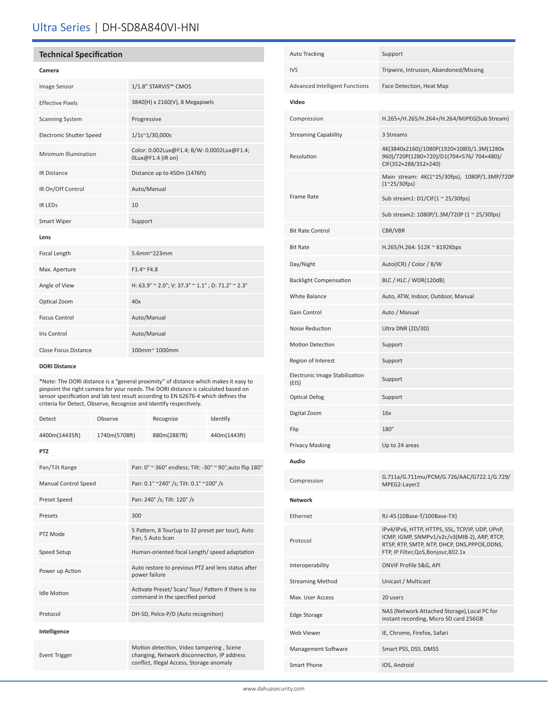# Ultra Series | DH-SD8A840VI-HNI

# **Technical Specification**

### **Camera**

| Image Sensor                    | 1/1.8" STARVIS™ CMOS                                            |  |
|---------------------------------|-----------------------------------------------------------------|--|
| <b>Effective Pixels</b>         | 3840(H) x 2160(V), 8 Megapixels                                 |  |
| <b>Scanning System</b>          | Progressive                                                     |  |
| <b>Electronic Shutter Speed</b> | $1/1s^{\sim}1/30,000s$                                          |  |
| Minimum Illumination            | Color: 0.002Lux@F1.4; B/W: 0.0002Lux@F1.4;<br>0Lux@F1.4 (IR on) |  |
| <b>IR Distance</b>              | Distance up to 450m (1476ft)                                    |  |
| IR On/Off Control               | Auto/Manual                                                     |  |
| <b>IR LEDS</b>                  | 10                                                              |  |
| Smart Wiper                     | Support                                                         |  |
| Lens                            |                                                                 |  |
| Focal Length                    | 5.6mm~223mm                                                     |  |
| Max. Aperture                   | $F1.4^{\sim} F4.8$                                              |  |
| Angle of View                   | H: 63.9° ~ 2.0°; V: 37.3° ~ 1.1°; D: 71.2° ~ 2.3°               |  |
| Optical Zoom                    | 40x                                                             |  |
| <b>Focus Control</b>            | Auto/Manual                                                     |  |
| <b>Iris Control</b>             | Auto/Manual                                                     |  |
| Close Focus Distance            | 100mm~ 1000mm                                                   |  |

#### **DORI Distance**

\*Note: The DORI distance is a "general proximity" of distance which makes it easy to pinpoint the right camera for your needs. The DORI distance is calculated based on sensor specification and lab test result according to EN 62676-4 which defines the criteria for Detect, Observe, Recognize and Identify respectively.

| Detect                      | Observe       |                                                                                                                                      | Recognize    | Identify     |  |  |
|-----------------------------|---------------|--------------------------------------------------------------------------------------------------------------------------------------|--------------|--------------|--|--|
| 4400m(14435ft)              | 1740m(5708ft) |                                                                                                                                      | 880m(2887ft) | 440m(1443ft) |  |  |
| <b>PTZ</b>                  |               |                                                                                                                                      |              |              |  |  |
| Pan/Tilt Range              |               | Pan: 0° ~ 360° endless; Tilt: -30° ~ 90°, auto flip 180°                                                                             |              |              |  |  |
| <b>Manual Control Speed</b> |               | Pan: 0.1° ~240° /s; Tilt: 0.1° ~100° /s                                                                                              |              |              |  |  |
| Preset Speed                |               | Pan: 240° /s; Tilt: 120° /s                                                                                                          |              |              |  |  |
| Presets                     |               | 300                                                                                                                                  |              |              |  |  |
| PTZ Mode                    |               | 5 Pattern, 8 Tour(up to 32 preset per tour), Auto<br>Pan, 5 Auto Scan                                                                |              |              |  |  |
| Speed Setup                 |               | Human-oriented focal Length/ speed adaptation                                                                                        |              |              |  |  |
| Power up Action             |               | Auto restore to previous PTZ and lens status after<br>power failure                                                                  |              |              |  |  |
| <b>Idle Motion</b>          |               | Activate Preset/ Scan/ Tour/ Pattern if there is no<br>command in the specified period                                               |              |              |  |  |
| Protocol                    |               | DH-SD, Pelco-P/D (Auto recognition)                                                                                                  |              |              |  |  |
| Intelligence                |               |                                                                                                                                      |              |              |  |  |
| <b>Event Trigger</b>        |               | Motion detection, Video tampering, Scene<br>changing, Network disconnection, IP address<br>conflict, Illegal Access, Storage anomaly |              |              |  |  |

| <b>Auto Tracking</b>                    | Support                                                                                                                                                                                  |  |
|-----------------------------------------|------------------------------------------------------------------------------------------------------------------------------------------------------------------------------------------|--|
| <b>IVS</b>                              | Tripwire, Intrusion, Abandoned/Missing                                                                                                                                                   |  |
| <b>Advanced Intelligent Functions</b>   | Face Detection, Heat Map                                                                                                                                                                 |  |
| Video                                   |                                                                                                                                                                                          |  |
| Compression                             | H.265+/H.265/H.264+/H.264/MJPEG(Sub Stream)                                                                                                                                              |  |
| <b>Streaming Capability</b>             | 3 Streams                                                                                                                                                                                |  |
| Resolution                              | 4K(3840x2160)/1080P(1920×1080)/1.3M(1280x<br>960)/720P(1280×720)/D1(704×576/704×480)/<br>CIF(352×288/352×240)                                                                            |  |
|                                         | Main stream: 4K(1~25/30fps), 1080P/1.3MP/720P<br>$(1^{\sim}25/30$ fps)                                                                                                                   |  |
| Frame Rate                              | Sub stream1: $D1/CIF(1 ~ 25/30fps)$                                                                                                                                                      |  |
|                                         | Sub stream2: 1080P/1.3M/720P (1 ~ 25/30fps)                                                                                                                                              |  |
| <b>Bit Rate Control</b>                 | CBR/VBR                                                                                                                                                                                  |  |
| <b>Bit Rate</b>                         | H.265/H.264: 512K ~ 8192Kbps                                                                                                                                                             |  |
| Day/Night                               | Auto(ICR) / Color / B/W                                                                                                                                                                  |  |
| <b>Backlight Compensation</b>           | BLC / HLC / WDR(120dB)                                                                                                                                                                   |  |
| <b>White Balance</b>                    | Auto, ATW, Indoor, Outdoor, Manual                                                                                                                                                       |  |
| Gain Control                            | Auto / Manual                                                                                                                                                                            |  |
| Noise Reduction                         | Ultra DNR (2D/3D)                                                                                                                                                                        |  |
| <b>Motion Detection</b>                 | Support                                                                                                                                                                                  |  |
| Region of Interest                      | Support                                                                                                                                                                                  |  |
| Electronic Image Stabilization<br>(EIS) | Support                                                                                                                                                                                  |  |
| <b>Optical Defog</b>                    | Support                                                                                                                                                                                  |  |
| Digital Zoom                            | 16x                                                                                                                                                                                      |  |
| Flip                                    | $180^\circ$                                                                                                                                                                              |  |
| Privacy Masking                         | Up to 24 areas                                                                                                                                                                           |  |
| Audio                                   |                                                                                                                                                                                          |  |
| Compression                             | G.711a/G.711mu/PCM/G.726/AAC/G722.1/G.729/<br>MPEG2-Layer2                                                                                                                               |  |
| <b>Network</b>                          |                                                                                                                                                                                          |  |
| Ethernet                                | RJ-45 (10Base-T/100Base-TX)                                                                                                                                                              |  |
| Protocol                                | IPv4/IPv6, HTTP, HTTPS, SSL, TCP/IP, UDP, UPnP,<br>ICMP, IGMP, SNMPv1/v2c/v3(MIB-2), ARP, RTCP,<br>RTSP, RTP, SMTP, NTP, DHCP, DNS, PPPOE, DDNS,<br>FTP, IP Filter, QoS, Bonjour, 802.1x |  |
| Interoperability                        | ONVIF Profile S&G, API                                                                                                                                                                   |  |
| <b>Streaming Method</b>                 | Unicast / Multicast                                                                                                                                                                      |  |
| Max. User Access                        | 20 users                                                                                                                                                                                 |  |
| <b>Edge Storage</b>                     | NAS (Network Attached Storage), Local PC for<br>instant recording, Micro SD card 256GB                                                                                                   |  |
| Web Viewer                              | IE, Chrome, Firefox, Safari                                                                                                                                                              |  |
| Management Software                     | Smart PSS, DSS, DMSS                                                                                                                                                                     |  |
| Smart Phone                             | IOS, Android                                                                                                                                                                             |  |